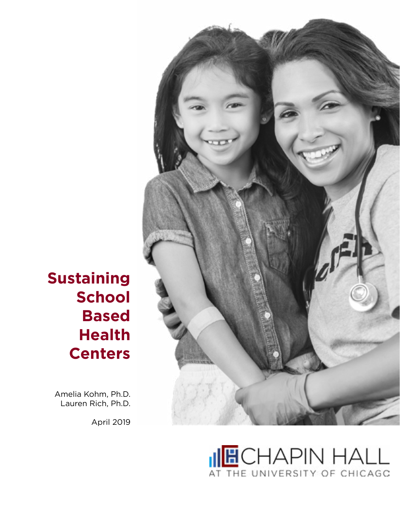

Amelia Kohm, Ph.D. Lauren Rich, Ph.D.

April 2019



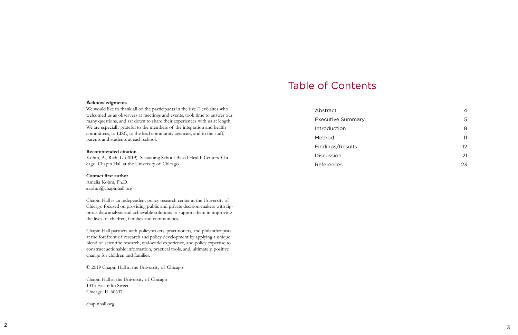#### **Acknowledgments**

We would like to thank all of the participants in the five Elev8 sites who welcomed us as observers at meetings and events, took time to answer our many questions, and sat down to share their experiences with us at length. We are especially grateful to the members of the integration and health committees, to LISC, to the lead community agencies, and to the staff, parents and students at each school.

#### **Recommended citation**

Kohm, A., Rich, L. (2019). Sustaining School-Based Health Centers. Chi cago: Chapin Hall at the University of Chicago.

#### **Contact first author**

Amelia Kohm, Ph.D. akohm@chapinhall.org

Chapin Hall is an independent policy research center at the University of Chicago focused on providing public and private decision-makers with rig orous data analysis and achievable solutions to support them in improving the lives of children, families and communities.

Chapin Hall partners with policymakers, practitioners, and philanthropists at the forefront of research and policy development by applying a unique blend of scientific research, real-world experience, and policy expertise to construct actionable information, practical tools, and, ultimately, positive change for children and families.

© 2019 Chapin Hall at the University of Chicago

Chapin Hall at the University of Chicago 1313 East 60th Street Chicago, IL 60637

chapinhall.org

## Table of Contents

[Abstract](#page-2-0)

4 5 8

- [Executive Summary](#page-2-0) [Introduction](#page-4-0) [Method](#page-5-0) 11 [Findings/Results](#page-6-0) 12
- [Discussion](#page-10-0) 21
- [References](#page-11-0) 23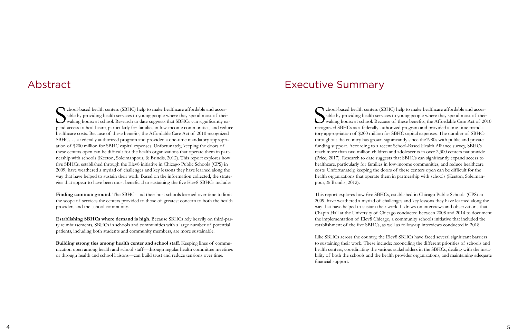### <span id="page-2-0"></span>Abstract

S chool-based health centers (SBHC) help to make healthcare affordable and accessible by providing health services to young people where they spend most of their waking hours: at school. Research to date suggests that SBHCs can significantly expand access to healthcare, particularly for families in low-income communities, and reduce healthcare costs. Because of these benefits, the Affordable Care Act of 2010 recognized SBHCs as a federally authorized program and provided a one-time mandatory appropriation of \$200 million for SBHC capital expenses. Unfortunately, keeping the doors of these centers open can be difficult for the health organizations that operate them in partnership with schools (Keeton, Soleimanpour, & Brindis, 2012). This report explores how five SBHCs, established through the Elev8 initiative in Chicago Public Schools (CPS) in 2009, have weathered a myriad of challenges and key lessons they have learned along the way that have helped to sustain their work. Based on the information collected, the strategies that appear to have been most beneficial to sustaining the five Elev8 SBHCs include:

**Finding common ground**. The SBHCs and their host schools learned over time to limit the scope of services the centers provided to those of greatest concern to both the health providers and the school community.

S chool-based health centers (SBHC) help to make healthcare affordable and accessible by providing health services to young people where they spend most of their waking hours: at school. Because of these benefits, the Affordable Care Act of 2010 recognized SBHCs as a federally authorized program and provided a one-time mandatory appropriation of \$200 million for SBHC capital expenses. The number of SBHCs throughout the country has grown significantly since the1980s with public and private funding support. According to a recent School-Based Health Alliance survey, SBHCs reach more than two million children and adolescents in over 2,300 centers nationwide (Price, 2017). Research to date suggests that SBHCs can significantly expand access to healthcare, particularly for families in low-income communities, and reduce healthcare costs. Unfortunately, keeping the doors of these centers open can be difficult for the health organizations that operate them in partnership with schools (Keeton, Soleimanpour, & Brindis, 2012).

**Establishing SBHCs where demand is high**. Because SBHCs rely heavily on third-party reimbursements, SBHCs in schools and communities with a large number of potential patients, including both students and community members, are more sustainable.

**Building strong ties among health center and school staff**. Keeping lines of communication open among health and school staff—through regular health committee meetings or through health and school liaisons—can build trust and reduce tensions over time.

### Executive Summary

This report explores how five SBHCs, established in Chicago Public Schools (CPS) in 2009, have weathered a myriad of challenges and key lessons they have learned along the way that have helped to sustain their work. It draws on interviews and observations that Chapin Hall at the University of Chicago conducted between 2008 and 2014 to document the implementation of Elev8 Chicago, a community schools initiative that included the establishment of the five SBHCs, as well as follow-up interviews conducted in 2018.

Like SBHCs across the country, the Elev8 SBHCs have faced several significant barriers to sustaining their work. These include: reconciling the different priorities of schools and health centers, coordinating the various stakeholders in the SBHCs, dealing with the instability of both the schools and the health provider organizations, and maintaining adequate financial support.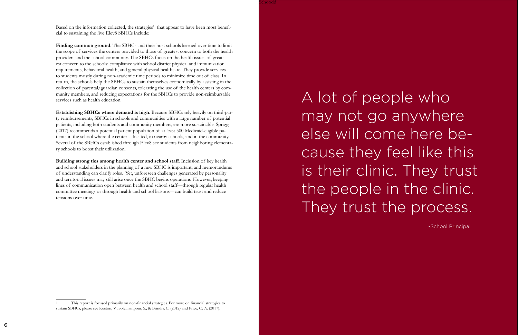Based on the information collected, the strategies<sup>1</sup> that appear to have been most beneficial to sustaining the five Elev8 SBHCs include:

**Finding common ground**. The SBHCs and their host schools learned over time to limit the scope of services the centers provided to those of greatest concern to both the health providers and the school community. The SBHCs focus on the health issues of greatest concern to the schools: compliance with school district physical and immunization requirements, behavioral health, and general physical healthcare. They provide services to students mostly during non-academic time periods to minimize time out of class. In return, the schools help the SBHCs to sustain themselves economically by assisting in the collection of parental/guardian consents, tolerating the use of the health centers by community members, and reducing expectations for the SBHCs to provide non-reimbursable services such as health education.

A lot of people who may not go anywhere else will come here because they feel like this is their clinic. They trust the people in the clinic. They trust the process.

**Establishing SBHCs where demand is high**. Because SBHCs rely heavily on third-party reimbursements, SBHCs in schools and communities with a large number of potential patients, including both students and community members, are more sustainable. Sprigg (2017) recommends a potential patient population of at least 500 Medicaid-eligible patients in the school where the center is located, in nearby schools, and in the community. Several of the SBHCs established through Elev8 see students from neighboring elementary schools to boost their utilization.

**Building strong ties among health center and school staff**. Inclusion of key health and school stakeholders in the planning of a new SBHC is important, and memorandums of understanding can clarify roles. Yet, unforeseen challenges generated by personality and territorial issues may still arise once the SBHC begins operations. However, keeping lines of communication open between health and school staff—through regular health committee meetings or through health and school liaisons—can build trust and reduce tensions over time.

-School Principal

<sup>1</sup> This report is focused primarily on non-financial strategies. For more on financial strategies to sustain SBHCs, please see Keeton, V., Soleimanpour, S., & Brindis, C. (2012) and Price, O. A. (2017).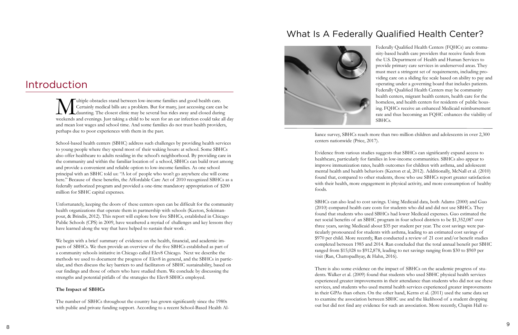## <span id="page-4-0"></span>Introduction

Wultiple obstacles stand between low-income families and good health care.<br>Certainly medical bills are a problem. But for many, just accessing care can<br>weekends and evenings Just taking a child to be seen for an ear infect Certainly medical bills are a problem. But for many, just accessing care can be daunting. The closest clinic may be several bus rides away and closed during weekends and evenings. Just taking a child to be seen for an ear infection could take all day and mean lost wages and school time. And some families do not trust health providers, perhaps due to poor experiences with them in the past.

School-based health centers (SBHC) address such challenges by providing health services to young people where they spend most of their waking hours: at school. Some SBHCs also offer healthcare to adults residing in the school's neighborhood. By providing care in the community and within the familiar location of a school, SBHCs can build trust among and provide a convenient and reliable option to low-income families. As one school principal with an SBHC told us: "A lot of people who won't go anywhere else will come here." Because of these benefits, the Affordable Care Act of 2010 recognized SBHCs as a federally authorized program and provided a one-time mandatory appropriation of \$200 million for SBHC capital expenses.

Unfortunately, keeping the doors of these centers open can be difficult for the community health organizations that operate them in partnership with schools (Keeton, Soleimanpour, & Brindis, 2012). This report will explore how five SBHCs, established in Chicago Public Schools (CPS) in 2009, have weathered a myriad of challenges and key lessons they have learned along the way that have helped to sustain their work .

We begin with a brief summary of evidence on the health, financial, and academic impacts of SBHCs. We then provide an overview of the five SBHCs established as part of a community schools initiative in Chicago called Elev8 Chicago. Next we describe the methods we used to document the progress of Elev8 in general, and the SBHCs in particular, and then discuss the key barriers to and facilitators of SBHC sustainability, based on our findings and those of others who have studied them. We conclude by discussing the strengths and potential pitfalls of the strategies the Elev8 SBHCs employed.

#### **The Impact of SBHCs**

The number of SBHCs throughout the country has grown significantly since the 1980s with public and private funding support. According to a recent School-Based Health Al-



liance survey, SBHCs reach more than two million children and adolescents in over 2,300 centers nationwide (Price, 2017).

Evidence from various studies suggests that SBHCs can significantly expand access to healthcare, particularly for families in low-income communities. SBHCs also appear to improve immunization rates, health outcomes for children with asthma, and adolescent mental health and health behaviors (Keeton et al, 2012). Additionally, McNall et al. (2010) found that, compared to other students, those who use SBHCs report greater satisfaction with their health, more engagement in physical activity, and more consumption of healthy foods.

SBHCs can also lead to cost savings. Using Medicaid data, both Adams (2000) and Guo (2010) compared health care costs for students who did and did not use SBHCs. They found that students who used SBHCs had lower Medicaid expenses. Guo estimated the net social benefits of an SBHC program in four school districts to be \$1,352,087 over three years, saving Medicaid about \$35 per student per year. The cost savings were particularly pronounced for students with asthma, leading to an estimated cost savings of \$970 per child. More recently, Ran conducted a review of 21 cost and/or benefit studies completed between 1985 and 2014. Ran concluded that the total annual benefit per SBHC ranged from \$15,028 to \$912,878, leading to net savings ranging from \$30 to \$969 per visit (Ran, Chattopadhyay, & Hahn, 2016).

There is also some evidence on the impact of SBHCs on the academic progress of students. Walker et al. (2009) found that students who used SBHC physical health services experienced greater improvements in their attendance than students who did not use these services, and students who used mental health services experienced greater improvements in their GPAs than others. On the other hand, Kerns et al. (2011) used the same data set to examine the association between SBHC use and the likelihood of a student dropping out but did not find any evidence for such an association. More recently, Chapin Hall re-

Federally Qualified Health Centers (FQHCs) are community-based health care providers that receive funds from the U.S. Department of Health and Human Services to provide primary care services in underserved areas. They must meet a stringent set of requirements, including providing care on a sliding fee scale based on ability to pay and operating under a governing board that includes patients. Federally Qualified Health Centers may be community health centers, migrant health centers, health care for the homeless, and health centers for residents of public housing. FQHCs receive an enhanced Medicaid reimbursement rate and thus becoming an FQHC enhances the viability of SBHCs.

### What Is A Federally Qualified Health Center?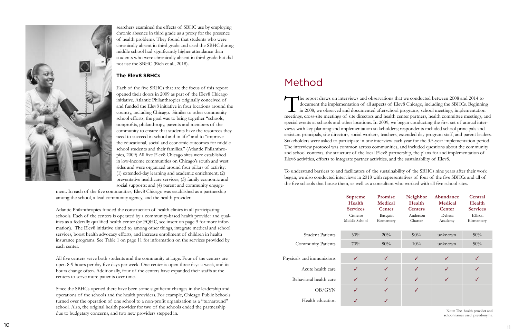<span id="page-5-0"></span>

searchers examined the effects of SBHC use by employing chronic absence in third grade as a proxy for the presence of health problems. They found that students who were chronically absent in third grade and used the SBHC during middle school had significantly higher attendance than students who were chronically absent in third grade but did not use the SBHC (Rich et al., 2018).

Each of the five SBHCs that are the focus of this report opened their doors in 2009 as part of the Elev8 Chicago initiative. Atlantic Philanthropies originally conceived of and funded the Elev8 initiative in four locations around the country, including Chicago. Similar to other community school efforts, the goal was to bring together "schools, nonprofits, philanthropy, parents and members of the community to ensure that students have the resources they need to succeed in school and in life" and to "improve the educational, social and economic outcomes for middle school students and their families." (Atlantic Philanthro pies, 2009) All five Elev8 Chicago sites were established in low-income communities on Chicago's south and west sides and were organized around four pillars of activity: (1) extended-day learning and academic enrichment; (2) preventative healthcare services; (3) family economic and social supports: and (4) parent and community engage-

#### **The Elev8 SBHCs**

ment. In each of the five communities, Elev8 Chicago was established as a partnership among the school, a lead community agency, and the health provider.

Atlantic Philanthropies funded the construction of health clinics in all participating schools. Each of the centers is operated by a community-based health provider and qual ifies as a federally qualified health center (or FQHC, see insert on page 9 for more infor mation). The Elev8 initiative aimed to, among other things, integrate medical and school services, boost health advocacy efforts, and increase enrollment of children in health insurance programs. See Table 1 on page 11 for information on the services provided by each center.

The report draws on interviews and observations that we conducted between 2008 and 2014 to document the implementation of all aspects of Elev8 Chicago, including the SBHCs. Beginning in 2008, we observed and documented afterschool programs, school meetings, implementation meetings, cross-site meetings of site directors and health center partners, health committee meetings, and special events at schools and other locations. In 2009, we began conducting the first set of annual inter views with key planning and implementation stakeholders; respondents included school principals and assistant principals, site directors, social workers, teachers, extended day program staff, and parent leaders. Stakeholders were asked to participate in one interview each year for the 3.5-year implementation period. The interview protocol was common across communities, and included questions about the community and school contexts, the structure of the local Elev8 partnership, the plans for and implementation of Elev8 activities, efforts to integrate partner activities, and the sustainability of Elev8.

#### **Supreme Health Services Promise M Center** Cisneros Middle School  $\overline{B}$ Ele

All five centers serve both students and the community at large. Four of the centers are open 8-9 hours per day five days per week. One center is open three days a week, and its hours change often. Additionally, four of the centers have expanded their staffs at the centers to serve more patients over time.

Since the SBHCs opened there have been some significant changes in the leadership and operations of the schools and the health providers. For example, Chicago Public Schools turned over the operation of one school to a non-profit organization as a "turnaround" school. Also, the original health provider for two of the schools ended the partnership due to budgetary concerns, and two new providers stepped in.

To understand barriers to and facilitators of the sustainability of the SBHCs nine years after their work began, we also conducted interviews in 2018 with representatives of four of the five SBHCs and all of the five schools that house them, as well as a consultant who worked with all five school sites.

### Method

Physicals

|                           | <b>Supreme</b><br>Health<br><b>Services</b> | Promise<br>Medical<br>Center | Neighbor<br>Health<br><b>Centers</b> | Abundance<br><b>Medical</b><br>Center | Central<br>Health<br><b>Services</b> |
|---------------------------|---------------------------------------------|------------------------------|--------------------------------------|---------------------------------------|--------------------------------------|
|                           | Cisneros<br>Middle School                   | Basquiat<br>Elementary       | Anderson<br>Charter                  | Dehesa<br>Academy                     | Ellison<br>Elementary                |
| <b>Student Patients</b>   | 30%                                         | 20%                          | 90%                                  | unknown                               | 50%                                  |
| <b>Community Patients</b> | 70%                                         | 80%                          | 10%                                  | unknown                               | 50%                                  |
|                           |                                             |                              |                                      |                                       |                                      |
| als and immunizions       | ✓                                           | ✓                            | ✓                                    | ✓                                     |                                      |
| Acute health care         | $\checkmark$                                | ✓                            | ✓                                    | J                                     |                                      |
| ehavioral health care     | $\checkmark$                                | ✓                            | ✓                                    |                                       |                                      |
| OB/GYN                    | $\checkmark$                                | $\checkmark$                 | ✓                                    |                                       |                                      |
| Health education          | ✓                                           | ✓                            |                                      |                                       |                                      |

| <b>Student Patients</b>   | 30% |  |
|---------------------------|-----|--|
| <b>Community Patients</b> | 70% |  |
|                           |     |  |
| sicals and immunizions    | J   |  |
| Acute health care         | J   |  |
| Behavioral health care    | J   |  |
| OB/GYN                    | J   |  |
| Health education          |     |  |
|                           |     |  |

Note: The health provider and school names used pseudonyms.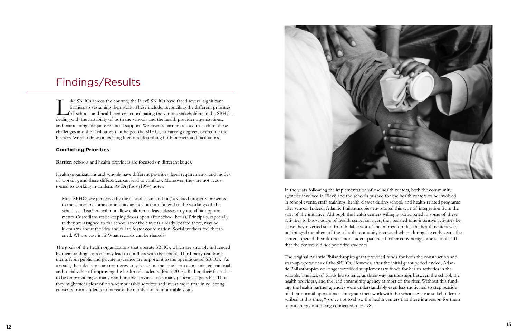<span id="page-6-0"></span>

barriers to sustaining their work. These include: reconciling the different priorities of schools and health centers, coordinating the various stakeholders in the SBHCs, dealing with the instability of both the schools and the health provider organizations, and maintaining adequate financial support. We discuss barriers related to each of these challenges and the facilitators that helped the SBHCs, to varying degrees, overcome the barriers. We also draw on existing literature describing both barriers and facilitators.

#### **Conflicting Priorities**

**Barrier**: Schools and health providers are focused on different issues.

Health organizations and schools have different priorities, legal requirements, and modes of working, and these differences can lead to conflicts. Moreover, they are not accus tomed to working in tandem. As Dryfoos (1994) notes:

Most SBHCs are perceived by the school as an 'add-on,' a valued property presented to the school by some community agency but not integral to the workings of the school . . . Teachers will not allow children to leave classes to go to clinic appointments. Custodians resist keeping doors open after school hours. Principals, especially if they are assigned to the school after the clinic is already located there, may be lukewarm about the idea and fail to foster coordination. Social workers feel threat ened. Whose case is it? What records can be shared?

The goals of the health organizations that operate SBHCs, which are strongly influenced by their funding sources, may lead to conflicts with the school. Third-party reimburse ments from public and private insurance are important to the operations of SBHCs. As a result, their decisions are not necessarily based on the long-term economic, educational, and social value of improving the health of students (Price, 2017). Rather, their focus has to be on providing as many reimbursable services to as many patients as possible. Thus they might steer clear of non-reimbursable services and invest more time in collecting consents from students to increase the number of reimbursable visits.

## Findings/Results

In the years following the implementation of the health centers, both the community agencies involved in Elev8 and the schools pushed for the health centers to be involved in school events, staff trainings, health classes during school, and health-related programs after school. Indeed, Atlantic Philanthropies envisioned this type of integration from the start of the initiative. Although the health centers willingly participated in some of these activities to boost usage of health center services, they resisted time-intensive activities because they diverted staff from billable work. The impression that the health centers were not integral members of the school community increased when, during the early years, the centers opened their doors to nonstudent patients, further convincing some school staff that the centers did not prioritize students.

The original Atlantic Philanthropies grant provided funds for both the construction and start-up operations of the SBHCs. However, after the initial grant period ended, Atlan tic Philanthropies no longer provided supplementary funds for health activities in the schools. The lack of funds led to tenuous three-way partnerships between the school, the health providers, and the lead community agency at most of the sites. Without this fund ing, the health partner agencies were understandably even less motivated to step outside of their normal operations to integrate their work with the school. As one stakeholder de scribed at this time, "you've got to show the health centers that there is a reason for them to put energy into being connected to Elev8."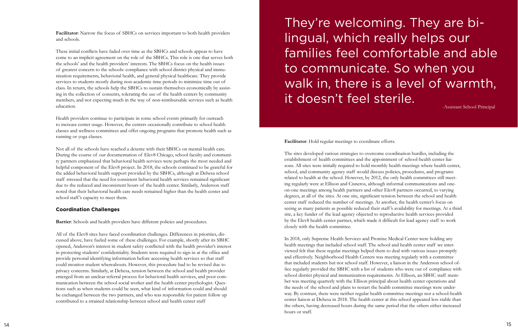**Facilitator**: Narrow the focus of SBHCs on services important to both health providers and schools.

These initial conflicts have faded over time as the SBHCs and schools appear to have come to an implicit agreement on the role of the SBHCs. This role is one that serves both the schools' and the health providers' interests. The SBHCs focus on the health issues of greatest concern to the schools: compliance with school district physical and immu nization requirements, behavioral health, and general physical healthcare. They provide services to students mostly during non-academic time periods to minimize time out of class. In return, the schools help the SBHCs to sustain themselves economically by assist ing in the collection of consents, tolerating the use of the health centers by community members, and not expecting much in the way of non-reimbursable services such as health education.

Health providers continue to participate in some school events primarily for outreach to increase center usage. However, the centers occasionally contribute to school health classes and wellness committees and offer ongoing programs that promote health such as running or yoga classes.

Not all of the schools have reached a detente with their SBHCs on mental health care. During the course of our documentation of Elev8 Chicago, school faculty and communi ty partners emphasized that behavioral health services were perhaps the most needed and helpful component of the Elev8 project. In 2018, the schools continued to be grateful for the added behavioral health support provided by the SBHCs, although at Dehesa school staff stressed that the need for consistent behavioral health services remained significant due to the reduced and inconsistent hours of the health center. Similarly, Anderson staff noted that their behavioral health care needs remained higher than the health center and school staff 's capacity to meet them.

#### **Coordination Challenges**

**Barrier**: Schools and health providers have different policies and procedures.

All of the Elev8 sites have faced coordination challenges. Differences in priorities, dis cussed above, have fueled some of these challenges. For example, shortly after its SBHC opened, Anderson's interest in student safety conflicted with the health provider's interest in protecting students' confidentiality. Students were required to sign in at the office and provide personal identifying information before accessing health services so that staff could monitor student whereabouts. However, this procedure had to be revised due to privacy concerns. Similarly, at Dehesa, tension between the school and health provider emerged from an unclear referral process for behavioral health services, and poor com munication between the school social worker and the health center psychologist. Ques tions such as when students could be seen, what kind of information could and should be exchanged between the two partners, and who was responsible for patient follow up contributed to a strained relationship between school and health center staff

# They're welcoming. They are bilingual, which really helps our families feel comfortable and able to communicate. So when you walk in, there is a level of warmth, it doesn't feel sterile.

**Facilitator**: Hold regular meetings to coordinate efforts.

The sites developed various strategies to overcome coordination hurdles, including the establishment of health committees and the appointment of school-health center liai sons. All sites were initially required to hold monthly health meetings where health center, school, and community agency staff would discuss policies, procedures, and programs related to health at the school. However, by 2012, the only health committees still meet ing regularly were at Ellison and Cisneros, although informal communications and oneon-one meetings among health partners and other Elev8 partners occurred, to varying degrees, at all of the sites. At one site, significant tension between the school and health center staff reduced the number of meetings. At another, the health center's focus on seeing as many patients as possible reduced their staff 's availability for meetings. At a third site, a key funder of the lead agency objected to reproductive health services provided by the Elev8 health center partner, which made it difficult for lead agency staff to work closely with the health committee.

In 2018, only Supreme Health Services and Promise Medical Center were holding any health meetings that included school staff. The school and health center staff we inter viewed felt that these regular meetings helped them to deal with various issues promptly and effectively. Neighborhood Health Centers was meeting regularly with a committee that included students but not school staff. However, a liaison in the Anderson school office regularly provided the SBHC with a list of students who were out of compliance with school district physical and immunization requirements. At Ellison, an SBHC staff member was meeting quarterly with the Ellison principal about health center operations and the needs of the school and plans to restart the health committee meetings were under way. By contrast, there were neither regular health committee meetings nor a school-health center liaison at Dehesa in 2018. The health center at this school appeared less stable than the others, having decreased hours during the same period that the others either increased hours or staff.

-Assistant School Principal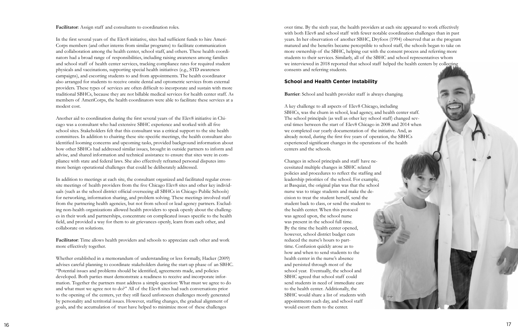#### **Facilitator**: Assign staff and consultants to coordination roles.

In the first several years of the Elev8 initiative, sites had sufficient funds to hire Ameri-Corps members (and other interns from similar programs) to facilitate communication and collaboration among the health center, school staff, and others. These health coordi nators had a broad range of responsibilities, including raising awareness among families and school staff of health center services, tracking compliance rates for required student physicals and vaccinations, supporting special health initiatives (e.g., STD awareness campaigns), and escorting students to and from appointments. The health coordinator also arranged for students to receive onsite dental and optometric services from external providers. These types of services are often difficult to incorporate and sustain with more traditional SBHCs, because they are not billable medical services for health center staff. As members of AmeriCorps, the health coordinators were able to facilitate these services at a modest cost.

Another aid to coordination during the first several years of the Elev8 initiative in Chi cago was a consultant who had extensive SBHC experience and worked with all five school sites. Stakeholders felt that this consultant was a critical support to the site health committees. In addition to chairing these site-specific meetings, the health consultant also identified looming concerns and upcoming tasks, provided background information about how other SBHCs had addressed similar issues, brought in outside partners to inform and advise, and shared information and technical assistance to ensure that sites were in com pliance with state and federal laws. She also effectively reframed personal disputes into more benign operational challenges that could be deliberately addressed.

In addition to meetings at each site, the consultant organized and facilitated regular crosssite meetings of health providers from the five Chicago Elev8 sites and other key individuals (such as the school district official overseeing all SBHCs in Chicago Public Schools) for networking, information sharing, and problem solving. These meetings involved staff from the partnering health agencies, but not from school or lead agency partners. Exclud ing non-health organizations allowed health providers to speak openly about the challeng es in their work and partnerships, concentrate on complicated issues specific to the health field, and provided a way for them to air grievances openly, learn from each other, and collaborate on solutions.

A key challenge to all aspects of Elev8 Chicago, including SBHCs, was the churn in school, lead agency, and health center staff. The school principals (as well as other key school staff) changed sev eral times between the start of Elev8 Chicago in 2008 and 2014 when we completed our yearly documentation of the initiative. And, as already noted, during the first five years of operation, the SBHCs experienced significant changes in the operations of the health centers and the schools.

**Facilitator**: Time allows health providers and schools to appreciate each other and work more effectively together.

Whether established in a memorandum of understanding or less formally, Hacker (2009) advises careful planning to coordinate stakeholders during the start-up phase of an SBHC. "Potential issues and problems should be identified, agreements made, and policies developed. Both parties must demonstrate a readiness to receive and incorporate infor mation. Together the partners must address a simple question: What must we agree to do and what must we agree not to do?" All of the Elev8 sites had such conversations prior to the opening of the centers, yet they still faced unforeseen challenges mostly generated by personality and territorial issues. However, staffing changes, the gradual alignment of goals, and the accumulation of trust have helped to minimize most of these challenges

over time. By the sixth year, the health providers at each site appeared to work effectively with both Elev8 and school staff with fewer notable coordination challenges than in past years. In her observation of another SBHC, Dryfoos (1994) observed that as the program matured and the benefits became perceptible to school staff, the schools began to take on more ownership of the SBHC, helping out with the consent process and referring more students to their services. Similarly, all of the SBHC and school representatives whom we interviewed in 2018 reported that school staff helped the health centers by collecting consents and referring students.

#### **School and Health Center Instability**

#### **Barrier**: School and health provider staff is always changing.

Changes in school principals and staff have ne cessitated multiple changes in SBHC related policies and procedures to reflect the staffing and leadership priorities of the school. For example, at Basquiat, the original plan was that the school nurse was to triage students and make the de cision to treat the student herself, send the student back to class, or send the student to the health center. When this protocol was agreed upon, the school nurse was present in the school full time. By the time the health center opened, however, school district budget cuts reduced the nurse's hours to parttime. Confusion quickly arose as to how and when to send students to the health center in the nurse's absence and persisted through most of the school year. Eventually, the school and SBHC agreed that school staff could send students in need of immediate care to the health center. Additionally, the SBHC would share a list of students with appointments each day, and school staff would escort them to the center.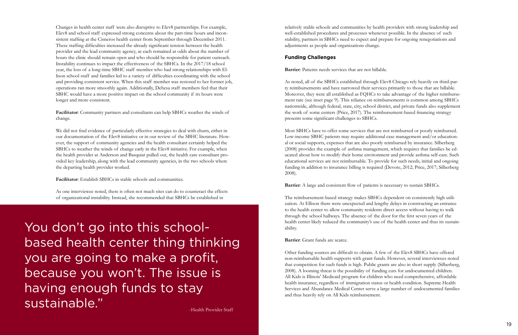Changes in health center staff were also disruptive to Elev8 partnerships. For example, Elev8 and school staff expressed strong concerns about the part-time hours and inconsistent staffing at the Cisneros health center from September through December 2011. These staffing difficulties increased the already significant tension between the health provider and the lead community agency, as each remained at odds about the number of hours the clinic should remain open and who should be responsible for patient outreach. Instability continues to impact the effectiveness of the SBHCs. In the 2017/18 school year, the loss of a long-time SBHC staff member who had strong relationships with Ellison school staff and families led to a variety of difficulties coordinating with the school and providing consistent service. When this staff member was restored to her former job, operations ran more smoothly again. Additionally, Dehesa staff members feel that their SBHC would have a more positive impact on the school community if its hours were longer and more consistent.

**Facilitator**: Community partners and consultants can help SBHCs weather the winds of change.

We did not find evidence of particularly effective strategies to deal with churn, either in our documentation of the Elev8 initiative or in our review of the SBHC literature. However, the support of community agencies and the health consultant certainly helped the SBHCs to weather the winds of change early in the Elev8 initiative. For example, when the health provider at Anderson and Basquiat pulled out, the health care consultant provided key leadership, along with the lead community agencies, in the two schools where the departing health provider worked.

**Facilitator**: Establish SBHCs in stable schools and communities.

As one interviewee noted, there is often not much sites can do to counteract the effects of organizational instability. Instead, she recommended that SBHCs be established in

relatively stable schools and communities by health providers with strong leadership and well-established procedures and processes whenever possible. In the absence of such stability, partners in SBHCs need to expect and prepare for ongoing renegotiations and adjustments as people and organizations change.

#### **Funding Challenges**

**Barrier**: Patients needs services that are not billable.

As noted, all of the SBHCs established through Elev8 Chicago rely heavily on third-party reimbursements and have narrowed their services primarily to those that are billable. Moreover, they were all established as FQHCs to take advantage of the higher reimbursement rate (see inset page 9). This reliance on reimbursements is common among SBHCs nationwide, although federal, state, city, school district, and private funds also supplement the work of some centers (Price, 2017). The reimbursement-based financing strategy presents some significant challenges to SBHCs.

Most SBHCs have to offer some services that are not reimbursed or poorly reimbursed. Low-income SBHC patients may require additional case management and/or educational or social supports, expenses that are also poorly reimbursed by insurance. Silberberg (2008) provides the example of asthma management, which requires that families be educated about how to modify their home environment and provide asthma self-care. Such educational services are not reimbursable. To provide for such needs, initial and ongoing funding in addition to insurance billing is required (Devore, 2012; Price, 2017; Silberberg 2008).

**Barrier**: A large and consistent flow of patients is necessary to sustain SBHCs.

The reimbursement-based strategy makes SBHCs dependent on consistently high utilization. At Ellison there were unexpected and lengthy delays in constructing an entrance to the health center to allow community residents direct access without having to walk through the school hallways. The absence of the door for the first seven years of the health center likely reduced the community's use of the health center and thus its sustainability.

**Barrier**: Grant funds are scarce.

Other funding sources are difficult to obtain. A few of the Elev8 SBHCs have offered non-reimbursable health supports with grant funds. However, several interviewees noted that competition for such funds is high. Public grants are also in short supply (Silberberg, 2008). A looming threat is the possibility of funding cuts for undocumented children. All Kids is Illinois' Medicaid program for children who need comprehensive, affordable health insurance, regardless of immigration status or health condition. Supreme Health Services and Abundance Medical Center serve a large number of undocumented families and thus heavily rely on All Kids reimbursement.

You don't go into this schoolbased health center thing thinking you are going to make a profit, because you won't. The issue is having enough funds to stay sustainable."

-Health Provider Staff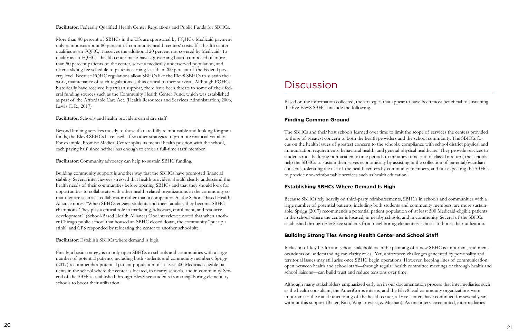<span id="page-10-0"></span>**Facilitator**: Federally Qualified Health Center Regulations and Public Funds for SBHCs.

More than 40 percent of SBHCs in the U.S. are sponsored by FQHCs. Medicaid payment only reimburses about 80 percent of community health centers' costs. If a health center qualifies as an FQHC, it receives the additional 20 percent not covered by Medicaid. To qualify as an FQHC, a health center must: have a governing board composed of more than 50 percent patients of the center, serve a medically underserved population, and offer a sliding fee schedule to patients earning less than 200 percent of the Federal poverty level. Because FQHC regulations allow SBHCs like the Elev8 SBHCs to sustain their work, maintenance of such regulations is thus critical to their survival. Although FQHCs historically have received bipartisan support, there have been threats to some of their federal funding sources such as the Community Health Center Fund, which was established as part of the Affordable Care Act. (Health Resources and Services Administration, 2006, Lewis C. R., 2017)

**Facilitator**: Schools and health providers can share staff.

Beyond limiting services mostly to those that are fully reimbursable and looking for grant funds, the Elev8 SBHCs have used a few other strategies to promote financial viability. For example, Promise Medical Center splits its mental health position with the school, each paying half since neither has enough to cover a full-time staff member.

**Facilitator**: Community advocacy can help to sustain SBHC funding.

Building community support is another way that the SBHCs have promoted financial stability. Several interviewees stressed that health providers should clearly understand the health needs of their communities before opening SBHCs and that they should look for opportunities to collaborate with other health-related organizations in the community so that they are seen as a collaborator rather than a competitor. As the School-Based Health Alliance notes, "When SBHCs engage students and their families, they become SBHC champions. They play a critical role in marketing, advocacy, enrollment, and resource development." (School-Based Health Alliance) One interviewee noted that when another Chicago public school that housed an SBHC closed down, the community "put up a stink" and CPS responded by relocating the center to another school site.

**Facilitator**: Establish SBHCs where demand is high.

Finally, a basic strategy is to only open SBHCs in schools and communities with a large number of potential patients, including both students and community members. Sprigg (2017) recommends a potential patient population of at least 500 Medicaid-eligible patients in the school where the center is located, in nearby schools, and in community. Several of the SBHCs established through Elev8 see students from neighboring elementary schools to boost their utilization.

### **Discussion**

Based on the information collected, the strategies that appear to have been most beneficial to sustaining the five Elev8 SBHCs include the following.

### **Finding Common Ground**

The SBHCs and their host schools learned over time to limit the scope of services the centers provided to those of greatest concern to both the health providers and the school community. The SBHCs focus on the health issues of greatest concern to the schools: compliance with school district physical and immunization requirements, behavioral health, and general physical healthcare. They provide services to students mostly during non-academic time periods to minimize time out of class. In return, the schools help the SBHCs to sustain themselves economically by assisting in the collection of parental/guardian consents, tolerating the use of the health centers by community members, and not expecting the SBHCs to provide non-reimbursable services such as health education.

### **Establishing SBHCs Where Demand Is High**

Because SBHCs rely heavily on third-party reimbursements, SBHCs in schools and communities with a large number of potential patients, including both students and community members, are more sustainable. Sprigg (2017) recommends a potential patient population of at least 500 Medicaid-eligible patients in the school where the center is located, in nearby schools, and in community. Several of the SBHCs established through Elev8 see students from neighboring elementary schools to boost their utilization.

### **Building Strong Ties Among Health Center and School Staff**

Inclusion of key health and school stakeholders in the planning of a new SBHC is important, and memorandums of understanding can clarify roles. Yet, unforeseen challenges generated by personality and territorial issues may still arise once SBHC begin operations. However, keeping lines of communication open between health and school staff—through regular health committee meetings or through health and school liaisons—can build trust and reduce tensions over time.

Although many stakeholders emphasized early on in our documentation process that intermediaries such as the health consultant, the AmeriCorps interns, and the Elev8 lead community organizations were important to the initial functioning of the health center, all five centers have continued for several years without this support (Baker, Rich, Wojnarowksi, & Meehan). As one interviewee noted, intermediaries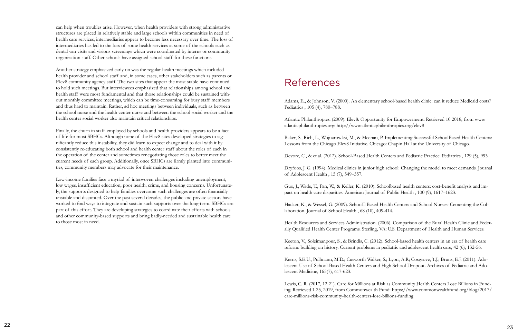### References

Adams, E., & Johnson, V. (2000). An elementary school-based health clinic: can it reduce Medicaid costs? Pediatrics , 105 (4), 780–788.

Atlantic Philanthropies. (2009). Elev8: Opportunity for Empowerment. Retrieved 10 2018, from www. atlanticphilanthropies.org: http://www.atlanticphilanthropies.org/elev8

Baker, S., Rich, L., Wojnarowksi, M., & Meehan, P. Implementing Successful SchoolBased Health Centers: Lessons from the Chicago Elev8 Initiative. Chicago: Chapin Hall at the University of Chicago.

Hacker, K., & Wessel, G. (2009). School Based Health Centers and School Nurses: Cementing the Collaboration. Journal of School Health , 68 (10), 409-414.

Devore, C., & et al. (2012). School-Based Health Centers and Pediatric Practice. Pediatrics , 129 (5), 993.

Dryfoos, J. G. (1994). Medical clinics in junior high school: Changing the model to meet demands. Journal of Adolescent Health , 15 (7), 549–557.

Guo, J., Wade, T., Pan, W., & Keller, K. (2010). Schoolbased health centers: cost-benefit analysis and impact on health care disparities. American Journal of Public Health , 100 (9), 1617–1623.

Health Resources and Services Administration. (2006). Comparison of the Rural Health Clinic and Federally Qualified Health Center Programs. Sterling, VA: U.S. Department of Health and Human Services.

Keeton, V., Soleimanpour, S., & Brindis, C. (2012). School-based health centers in an era of health care reform: building on history. Current problems in pediatric and adolescent health care, 42 (6), 132-56.

Kerns, S.E.U., Pullmann, M.D.; Cusworth Walker, S.; Lyon, A.R; Cosgrove, T.J.; Bruns, E.J. (2011). Adolescent Use of School-Based Health Centers and High School Dropout. Archives of Pediatric and Adolescent Medicine, 165(7), 617-623.

Lewis, C. R. (2017, 12 21). Care for Millions at Risk as Community Health Centers Lose Billions in Funding. Retrieved 1 25, 2019, from Commonwealth Fund: https://www.commonwealthfund.org/blog/2017/ care-millions-risk-community-health-centers-lose-billions-funding

<span id="page-11-0"></span>can help when troubles arise. However, when health providers with strong administrative structures are placed in relatively stable and large schools within communities in need of health care services, intermediaries appear to become less necessary over time. The loss of intermediaries has led to the loss of some health services at some of the schools such as dental van visits and visions screenings which were coordinated by interns or community organization staff. Other schools have assigned school staff for these functions.

Another strategy emphasized early on was the regular health meetings which included health provider and school staff and, in some cases, other stakeholders such as parents or Elev8 community agency staff. The two sites that appear the most stable have continued to hold such meetings. But interviewees emphasized that relationships among school and health staff were most fundamental and that those relationships could be sustained without monthly committee meetings, which can be time-consuming for busy staff members and thus hard to maintain. Rather, ad hoc meetings between individuals, such as between the school nurse and the health center nurse and between the school social worker and the health center social worker also maintain critical relationships.

Finally, the churn in staff employed by schools and health providers appears to be a fact of life for most SBHCs. Although none of the Elev8 sites developed strategies to significantly reduce this instability, they did learn to expect change and to deal with it by consistently re-educating both school and health center staff about the roles of each in the operation of the center and sometimes renegotiating those roles to better meet the current needs of each group. Additionally, once SBHCs are firmly planted into communities, community members may advocate for their maintenance.

Low-income families face a myriad of interwoven challenges including unemployment, low wages, insufficient education, poor health, crime, and housing concerns. Unfortunately, the supports designed to help families overcome such challenges are often financially unstable and disjointed. Over the past several decades, the public and private sectors have worked to find ways to integrate and sustain such supports over the long-term. SBHCs are part of this effort. They are developing strategies to coordinate their efforts with schools and other community-based supports and bring badly-needed and sustainable health care to those most in need.